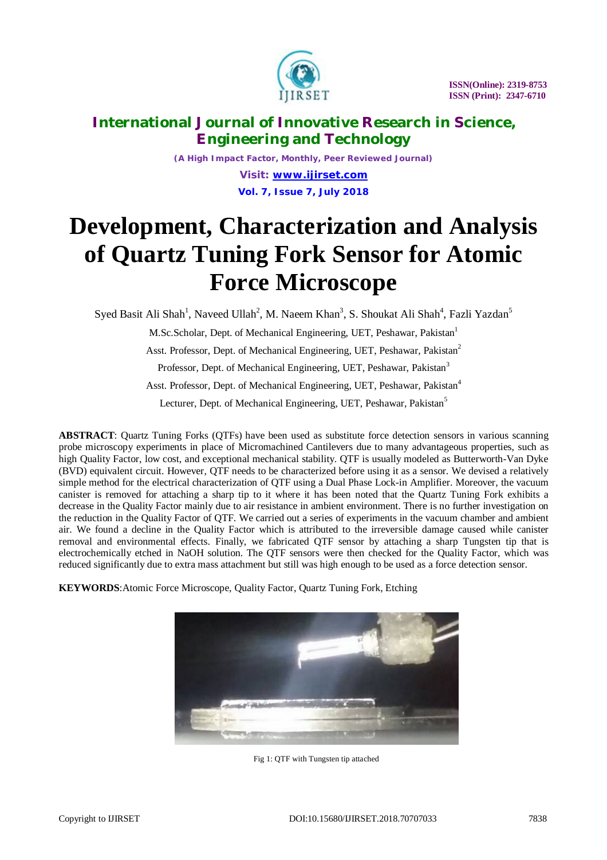

*(A High Impact Factor, Monthly, Peer Reviewed Journal) Visit: [www.ijirset.com](http://www.ijirset.com)* **Vol. 7, Issue 7, July 2018**

# **Development, Characterization and Analysis of Quartz Tuning Fork Sensor for Atomic Force Microscope**

Syed Basit Ali Shah<sup>1</sup>, Naveed Ullah<sup>2</sup>, M. Naeem Khan<sup>3</sup>, S. Shoukat Ali Shah<sup>4</sup>, Fazli Yazdan<sup>5</sup>

M.Sc.Scholar, Dept. of Mechanical Engineering, UET, Peshawar, Pakistan<sup>1</sup> Asst. Professor, Dept. of Mechanical Engineering, UET, Peshawar, Pakistan<sup>2</sup> Professor, Dept. of Mechanical Engineering, UET, Peshawar, Pakistan<sup>3</sup> Asst. Professor, Dept. of Mechanical Engineering, UET, Peshawar, Pakistan<sup>4</sup> Lecturer, Dept. of Mechanical Engineering, UET, Peshawar, Pakistan<sup>5</sup>

**ABSTRACT**: Quartz Tuning Forks (QTFs) have been used as substitute force detection sensors in various scanning probe microscopy experiments in place of Micromachined Cantilevers due to many advantageous properties, such as high Quality Factor, low cost, and exceptional mechanical stability. QTF is usually modeled as Butterworth-Van Dyke (BVD) equivalent circuit. However, QTF needs to be characterized before using it as a sensor. We devised a relatively simple method for the electrical characterization of QTF using a Dual Phase Lock-in Amplifier. Moreover, the vacuum canister is removed for attaching a sharp tip to it where it has been noted that the Quartz Tuning Fork exhibits a decrease in the Quality Factor mainly due to air resistance in ambient environment. There is no further investigation on the reduction in the Quality Factor of QTF. We carried out a series of experiments in the vacuum chamber and ambient air. We found a decline in the Quality Factor which is attributed to the irreversible damage caused while canister removal and environmental effects. Finally, we fabricated QTF sensor by attaching a sharp Tungsten tip that is electrochemically etched in NaOH solution. The QTF sensors were then checked for the Quality Factor, which was reduced significantly due to extra mass attachment but still was high enough to be used as a force detection sensor.

**KEYWORDS**:Atomic Force Microscope, Quality Factor, Quartz Tuning Fork, Etching



Fig 1: QTF with Tungsten tip attached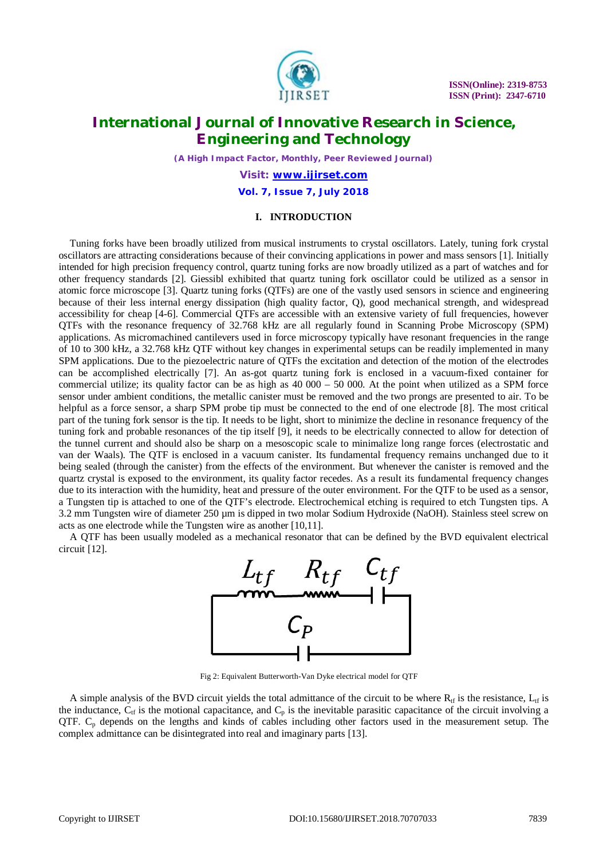

*(A High Impact Factor, Monthly, Peer Reviewed Journal)*

*Visit: [www.ijirset.com](http://www.ijirset.com)*

**Vol. 7, Issue 7, July 2018**

#### **I. INTRODUCTION**

Tuning forks have been broadly utilized from musical instruments to crystal oscillators. Lately, tuning fork crystal oscillators are attracting considerations because of their convincing applications in power and mass sensors [1]. Initially intended for high precision frequency control, quartz tuning forks are now broadly utilized as a part of watches and for other frequency standards [2]. Giessibl exhibited that quartz tuning fork oscillator could be utilized as a sensor in atomic force microscope [3]. Quartz tuning forks (QTFs) are one of the vastly used sensors in science and engineering because of their less internal energy dissipation (high quality factor, Q), good mechanical strength, and widespread accessibility for cheap [4-6]. Commercial QTFs are accessible with an extensive variety of full frequencies, however QTFs with the resonance frequency of 32.768 kHz are all regularly found in Scanning Probe Microscopy (SPM) applications. As micromachined cantilevers used in force microscopy typically have resonant frequencies in the range of 10 to 300 kHz, a 32.768 kHz QTF without key changes in experimental setups can be readily implemented in many SPM applications. Due to the piezoelectric nature of QTFs the excitation and detection of the motion of the electrodes can be accomplished electrically [7]. An as-got quartz tuning fork is enclosed in a vacuum-fixed container for commercial utilize; its quality factor can be as high as  $40\,000 - 50\,000$ . At the point when utilized as a SPM force sensor under ambient conditions, the metallic canister must be removed and the two prongs are presented to air. To be helpful as a force sensor, a sharp SPM probe tip must be connected to the end of one electrode [8]. The most critical part of the tuning fork sensor is the tip. It needs to be light, short to minimize the decline in resonance frequency of the tuning fork and probable resonances of the tip itself [9], it needs to be electrically connected to allow for detection of the tunnel current and should also be sharp on a mesoscopic scale to minimalize long range forces (electrostatic and van der Waals). The QTF is enclosed in a vacuum canister. Its fundamental frequency remains unchanged due to it being sealed (through the canister) from the effects of the environment. But whenever the canister is removed and the quartz crystal is exposed to the environment, its quality factor recedes. As a result its fundamental frequency changes due to its interaction with the humidity, heat and pressure of the outer environment. For the QTF to be used as a sensor, a Tungsten tip is attached to one of the QTF's electrode. Electrochemical etching is required to etch Tungsten tips. A 3.2 mm Tungsten wire of diameter 250 µm is dipped in two molar Sodium Hydroxide (NaOH). Stainless steel screw on acts as one electrode while the Tungsten wire as another [10,11].

A QTF has been usually modeled as a mechanical resonator that can be defined by the BVD equivalent electrical circuit [12].



Fig 2: Equivalent Butterworth-Van Dyke electrical model for QTF

A simple analysis of the BVD circuit yields the total admittance of the circuit to be where  $R_{\text{tf}}$  is the resistance,  $L_{\text{tf}}$  is the inductance,  $C_{tf}$  is the motional capacitance, and  $C_p$  is the inevitable parasitic capacitance of the circuit involving a QTF. C<sub>p</sub> depends on the lengths and kinds of cables including other factors used in the measurement setup. The complex admittance can be disintegrated into real and imaginary parts [13].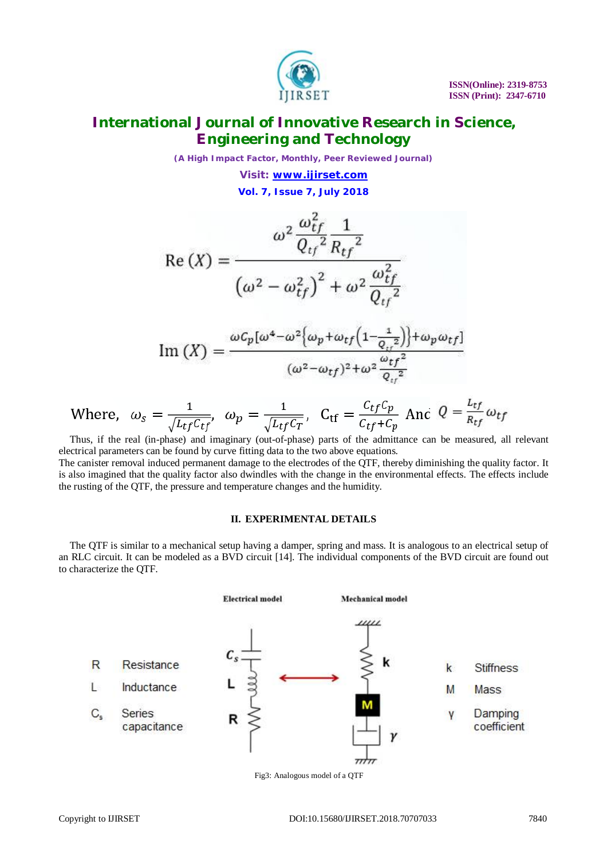

*(A High Impact Factor, Monthly, Peer Reviewed Journal) Visit: [www.ijirset.com](http://www.ijirset.com)*

**Vol. 7, Issue 7, July 2018**

$$
\operatorname{Re}\left(X\right) = \frac{\omega^2 \frac{\omega_{tf}^2}{Q_{tf}^2} \frac{1}{R_{tf}^2}}{\left(\omega^2 - \omega_{tf}^2\right)^2 + \omega^2 \frac{\omega_{tf}^2}{Q_{tf}^2}}
$$
\n
$$
\omega c_p [\omega^4 - \omega^2 \{\omega_p + \omega_{tf} \left(1 - \frac{1}{\omega^2}\right)\} + \omega_p \omega_t
$$

$$
\operatorname{Im}(X) = \frac{\omega c_p [\omega^4 - \omega^2 \left\{ \omega_p + \omega_{tf} \left( 1 - \frac{1}{Q_{tf}^2} \right) \right\} + \omega_p \omega_{tf}]}{(\omega^2 - \omega_{tf})^2 + \omega^2 \frac{\omega_{tf}^2}{Q_{tf}^2}}
$$

Where, 
$$
\omega_s = \frac{1}{\sqrt{L_{tf}C_{tf}}}, \quad \omega_p = \frac{1}{\sqrt{L_{tf}C_T}}, \quad C_{tf} = \frac{C_{tf}C_p}{C_{tf} + C_p} \text{ And } Q = \frac{L_{tf}}{R_{tf}} \omega_{tf}
$$

Thus, if the real (in-phase) and imaginary (out-of-phase) parts of the admittance can be measured, all relevant electrical parameters can be found by curve fitting data to the two above equations.

The canister removal induced permanent damage to the electrodes of the QTF, thereby diminishing the quality factor. It is also imagined that the quality factor also dwindles with the change in the environmental effects. The effects include the rusting of the QTF, the pressure and temperature changes and the humidity.

#### **II. EXPERIMENTAL DETAILS**

The QTF is similar to a mechanical setup having a damper, spring and mass. It is analogous to an electrical setup of an RLC circuit. It can be modeled as a BVD circuit [14]. The individual components of the BVD circuit are found out to characterize the QTF.



Fig3: Analogous model of a QTF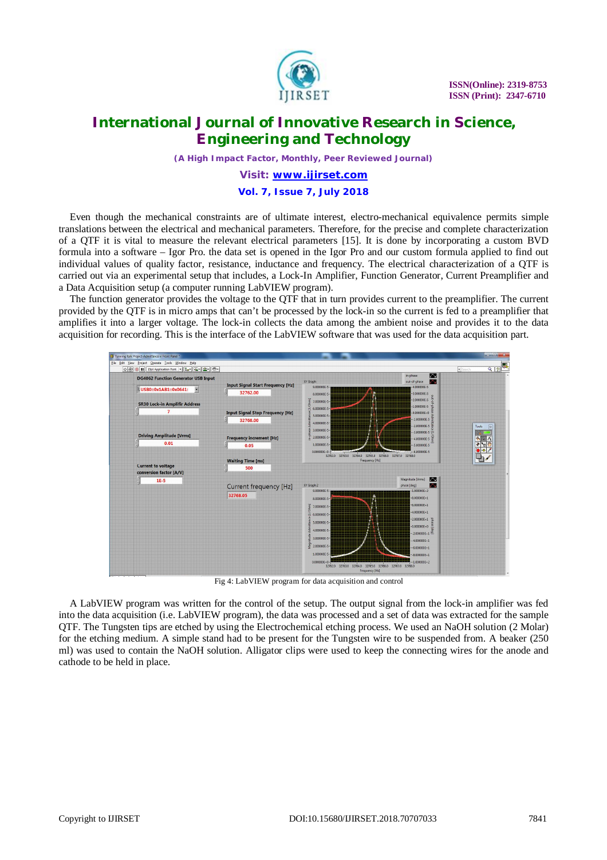

*(A High Impact Factor, Monthly, Peer Reviewed Journal)*

*Visit: [www.ijirset.com](http://www.ijirset.com)*

#### **Vol. 7, Issue 7, July 2018**

Even though the mechanical constraints are of ultimate interest, electro-mechanical equivalence permits simple translations between the electrical and mechanical parameters. Therefore, for the precise and complete characterization of a QTF it is vital to measure the relevant electrical parameters [15]. It is done by incorporating a custom BVD formula into a software – Igor Pro. the data set is opened in the Igor Pro and our custom formula applied to find out individual values of quality factor, resistance, inductance and frequency. The electrical characterization of a QTF is carried out via an experimental setup that includes, a Lock-In Amplifier, Function Generator, Current Preamplifier and a Data Acquisition setup (a computer running LabVIEW program).

The function generator provides the voltage to the QTF that in turn provides current to the preamplifier. The current provided by the QTF is in micro amps that can't be processed by the lock-in so the current is fed to a preamplifier that amplifies it into a larger voltage. The lock-in collects the data among the ambient noise and provides it to the data acquisition for recording. This is the interface of the LabVIEW software that was used for the data acquisition part.



Fig 4: LabVIEW program for data acquisition and control

A LabVIEW program was written for the control of the setup. The output signal from the lock-in amplifier was fed into the data acquisition (i.e. LabVIEW program), the data was processed and a set of data was extracted for the sample QTF. The Tungsten tips are etched by using the Electrochemical etching process. We used an NaOH solution (2 Molar) for the etching medium. A simple stand had to be present for the Tungsten wire to be suspended from. A beaker (250 ml) was used to contain the NaOH solution. Alligator clips were used to keep the connecting wires for the anode and cathode to be held in place.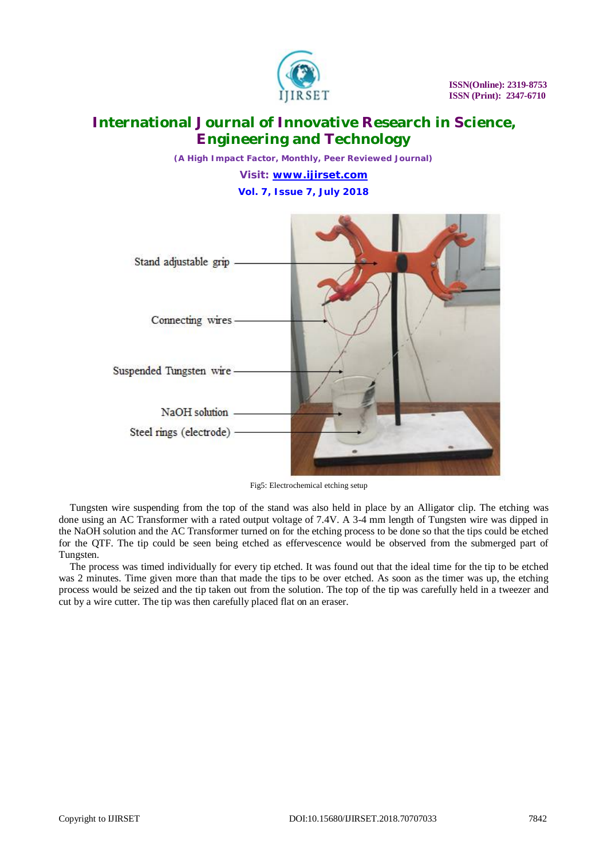

*(A High Impact Factor, Monthly, Peer Reviewed Journal) Visit: [www.ijirset.com](http://www.ijirset.com)* **Vol. 7, Issue 7, July 2018**



Fig5: Electrochemical etching setup

Tungsten wire suspending from the top of the stand was also held in place by an Alligator clip. The etching was done using an AC Transformer with a rated output voltage of 7.4V. A 3-4 mm length of Tungsten wire was dipped in the NaOH solution and the AC Transformer turned on for the etching process to be done so that the tips could be etched for the QTF. The tip could be seen being etched as effervescence would be observed from the submerged part of Tungsten.

The process was timed individually for every tip etched. It was found out that the ideal time for the tip to be etched was 2 minutes. Time given more than that made the tips to be over etched. As soon as the timer was up, the etching process would be seized and the tip taken out from the solution. The top of the tip was carefully held in a tweezer and cut by a wire cutter. The tip was then carefully placed flat on an eraser.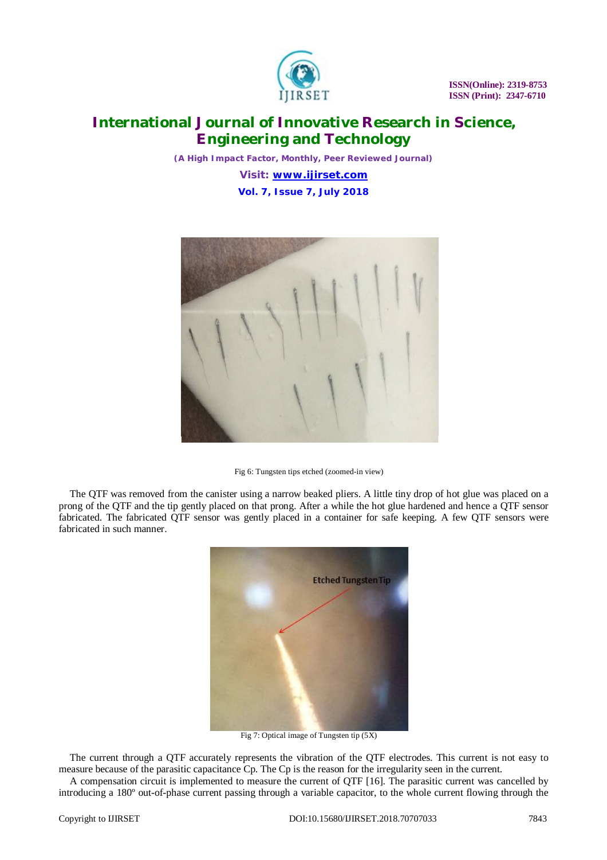

*(A High Impact Factor, Monthly, Peer Reviewed Journal) Visit: [www.ijirset.com](http://www.ijirset.com)* **Vol. 7, Issue 7, July 2018**



Fig 6: Tungsten tips etched (zoomed-in view)

The QTF was removed from the canister using a narrow beaked pliers. A little tiny drop of hot glue was placed on a prong of the QTF and the tip gently placed on that prong. After a while the hot glue hardened and hence a QTF sensor fabricated. The fabricated QTF sensor was gently placed in a container for safe keeping. A few QTF sensors were fabricated in such manner.



Fig 7: Optical image of Tungsten tip (5X)

The current through a QTF accurately represents the vibration of the QTF electrodes. This current is not easy to measure because of the parasitic capacitance Cp. The Cp is the reason for the irregularity seen in the current.

A compensation circuit is implemented to measure the current of QTF [16]. The parasitic current was cancelled by introducing a 180º out-of-phase current passing through a variable capacitor, to the whole current flowing through the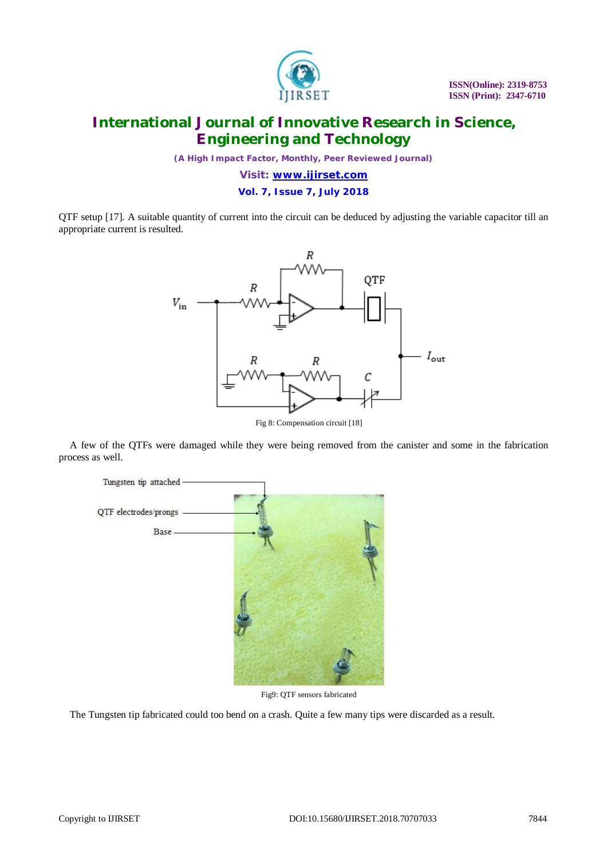

*(A High Impact Factor, Monthly, Peer Reviewed Journal)*

*Visit: [www.ijirset.com](http://www.ijirset.com)*

**Vol. 7, Issue 7, July 2018**

QTF setup [17]. A suitable quantity of current into the circuit can be deduced by adjusting the variable capacitor till an appropriate current is resulted.



Fig 8: Compensation circuit [18]

A few of the QTFs were damaged while they were being removed from the canister and some in the fabrication process as well.



Fig9: QTF sensors fabricated

The Tungsten tip fabricated could too bend on a crash. Quite a few many tips were discarded as a result.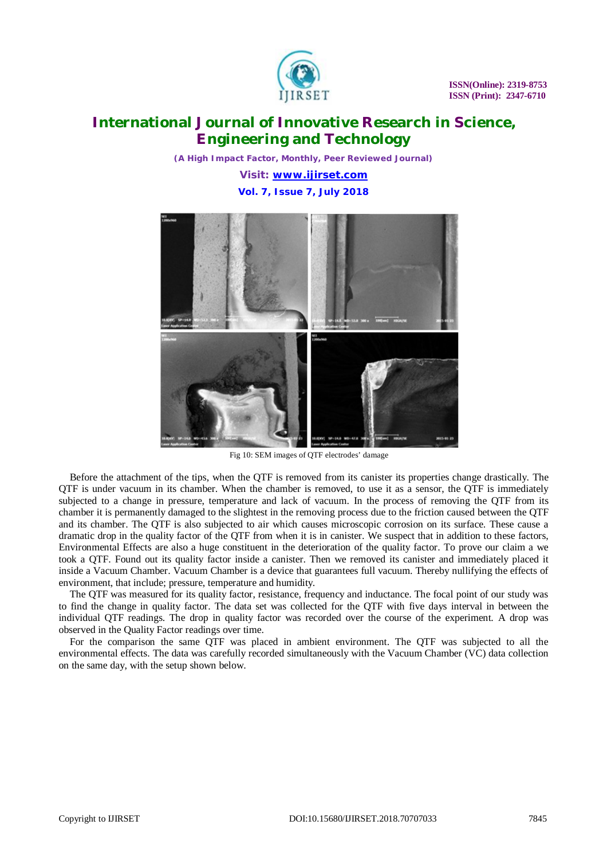

*(A High Impact Factor, Monthly, Peer Reviewed Journal) Visit: [www.ijirset.com](http://www.ijirset.com)*

**Vol. 7, Issue 7, July 2018**



Fig 10: SEM images of QTF electrodes' damage

Before the attachment of the tips, when the QTF is removed from its canister its properties change drastically. The QTF is under vacuum in its chamber. When the chamber is removed, to use it as a sensor, the QTF is immediately subjected to a change in pressure, temperature and lack of vacuum. In the process of removing the QTF from its chamber it is permanently damaged to the slightest in the removing process due to the friction caused between the QTF and its chamber. The QTF is also subjected to air which causes microscopic corrosion on its surface. These cause a dramatic drop in the quality factor of the QTF from when it is in canister. We suspect that in addition to these factors, Environmental Effects are also a huge constituent in the deterioration of the quality factor. To prove our claim a we took a QTF. Found out its quality factor inside a canister. Then we removed its canister and immediately placed it inside a Vacuum Chamber. Vacuum Chamber is a device that guarantees full vacuum. Thereby nullifying the effects of environment, that include; pressure, temperature and humidity.

The QTF was measured for its quality factor, resistance, frequency and inductance. The focal point of our study was to find the change in quality factor. The data set was collected for the QTF with five days interval in between the individual QTF readings. The drop in quality factor was recorded over the course of the experiment. A drop was observed in the Quality Factor readings over time.

For the comparison the same QTF was placed in ambient environment. The QTF was subjected to all the environmental effects. The data was carefully recorded simultaneously with the Vacuum Chamber (VC) data collection on the same day, with the setup shown below.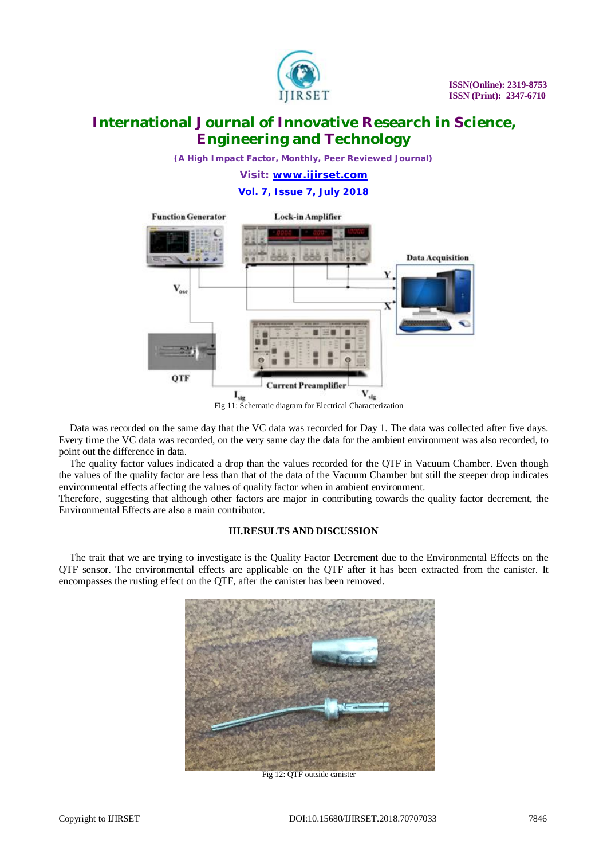

*(A High Impact Factor, Monthly, Peer Reviewed Journal)*

*Visit: [www.ijirset.com](http://www.ijirset.com)*

**Vol. 7, Issue 7, July 2018**



Data was recorded on the same day that the VC data was recorded for Day 1. The data was collected after five days. Every time the VC data was recorded, on the very same day the data for the ambient environment was also recorded, to point out the difference in data.

The quality factor values indicated a drop than the values recorded for the QTF in Vacuum Chamber. Even though the values of the quality factor are less than that of the data of the Vacuum Chamber but still the steeper drop indicates environmental effects affecting the values of quality factor when in ambient environment.

Therefore, suggesting that although other factors are major in contributing towards the quality factor decrement, the Environmental Effects are also a main contributor.

### **III.RESULTS AND DISCUSSION**

The trait that we are trying to investigate is the Quality Factor Decrement due to the Environmental Effects on the QTF sensor. The environmental effects are applicable on the QTF after it has been extracted from the canister. It encompasses the rusting effect on the QTF, after the canister has been removed.



Fig 12: QTF outside canister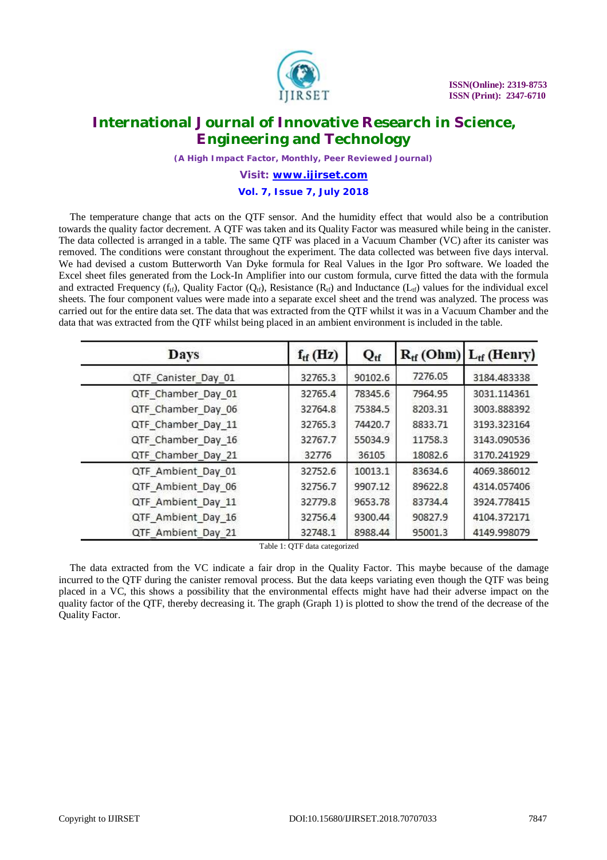

*(A High Impact Factor, Monthly, Peer Reviewed Journal)*

*Visit: [www.ijirset.com](http://www.ijirset.com)*

### **Vol. 7, Issue 7, July 2018**

The temperature change that acts on the QTF sensor. And the humidity effect that would also be a contribution towards the quality factor decrement. A QTF was taken and its Quality Factor was measured while being in the canister. The data collected is arranged in a table. The same QTF was placed in a Vacuum Chamber (VC) after its canister was removed. The conditions were constant throughout the experiment. The data collected was between five days interval. We had devised a custom Butterworth Van Dyke formula for Real Values in the Igor Pro software. We loaded the Excel sheet files generated from the Lock-In Amplifier into our custom formula, curve fitted the data with the formula and extracted Frequency ( $f_{tf}$ ), Quality Factor ( $Q_{tf}$ ), Resistance ( $R_{tf}$ ) and Inductance ( $L_{tf}$ ) values for the individual excel sheets. The four component values were made into a separate excel sheet and the trend was analyzed. The process was carried out for the entire data set. The data that was extracted from the QTF whilst it was in a Vacuum Chamber and the data that was extracted from the QTF whilst being placed in an ambient environment is included in the table.

| Days                | $f_{tf}$ (Hz) | $Q_{\rm tf}$ |         | $R_{tf}$ (Ohm) $L_{tf}$ (Henry) |
|---------------------|---------------|--------------|---------|---------------------------------|
| QTF Canister Day 01 | 32765.3       | 90102.6      | 7276.05 | 3184.483338                     |
| QTF Chamber Day 01  | 32765.4       | 78345.6      | 7964.95 | 3031.114361                     |
| QTF Chamber Day 06  | 32764.8       | 75384.5      | 8203.31 | 3003.888392                     |
| QTF Chamber Day 11  | 32765.3       | 74420.7      | 8833.71 | 3193.323164                     |
| QTF Chamber Day 16  | 32767.7       | 55034.9      | 11758.3 | 3143.090536                     |
| QTF Chamber Day 21  | 32776         | 36105        | 18082.6 | 3170.241929                     |
| QTF Ambient Day 01  | 32752.6       | 10013.1      | 83634.6 | 4069.386012                     |
| QTF Ambient Day 06  | 32756.7       | 9907.12      | 89622.8 | 4314.057406                     |
| QTF Ambient Day 11  | 32779.8       | 9653.78      | 83734.4 | 3924.778415                     |
| QTF Ambient Day 16  | 32756.4       | 9300.44      | 90827.9 | 4104.372171                     |
| QTF Ambient_Day_21  | 32748.1       | 8988.44      | 95001.3 | 4149.998079                     |

Table 1: QTF data categorized

The data extracted from the VC indicate a fair drop in the Quality Factor. This maybe because of the damage incurred to the QTF during the canister removal process. But the data keeps variating even though the QTF was being placed in a VC, this shows a possibility that the environmental effects might have had their adverse impact on the quality factor of the QTF, thereby decreasing it. The graph (Graph 1) is plotted to show the trend of the decrease of the Quality Factor.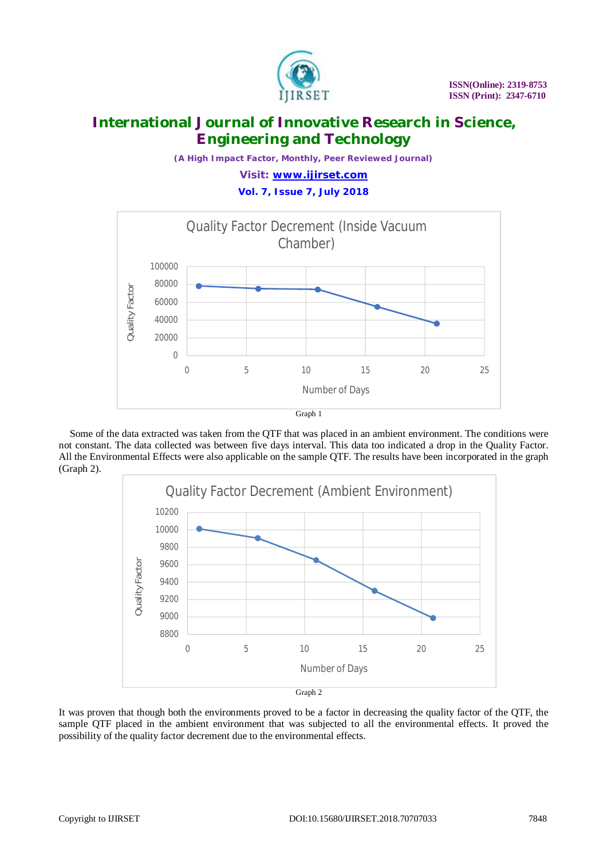

*(A High Impact Factor, Monthly, Peer Reviewed Journal) Visit: [www.ijirset.com](http://www.ijirset.com)*

**Vol. 7, Issue 7, July 2018**



Some of the data extracted was taken from the QTF that was placed in an ambient environment. The conditions were not constant. The data collected was between five days interval. This data too indicated a drop in the Quality Factor. All the Environmental Effects were also applicable on the sample QTF. The results have been incorporated in the graph (Graph 2).



It was proven that though both the environments proved to be a factor in decreasing the quality factor of the QTF, the sample QTF placed in the ambient environment that was subjected to all the environmental effects. It proved the possibility of the quality factor decrement due to the environmental effects.